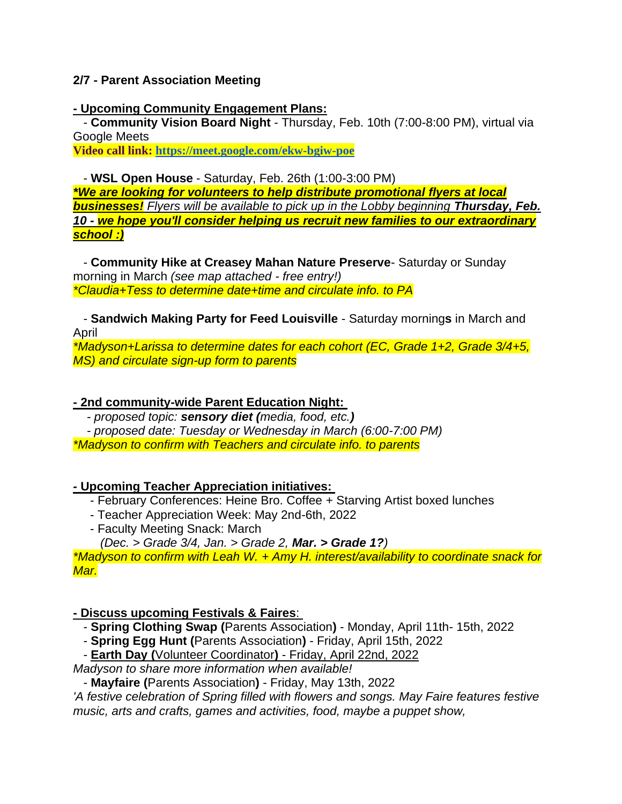## **2/7 - Parent Association Meeting**

## **- Upcoming Community Engagement Plans:**

- **Community Vision Board Night** - Thursday, Feb. 10th (7:00-8:00 PM), virtual via Google Meets

**Video call link: <https://meet.google.com/ekw-bgiw-poe>**

- **WSL Open House** - Saturday, Feb. 26th (1:00-3:00 PM)

*\*We are looking for volunteers to help distribute promotional flyers at local businesses! Flyers will be available to pick up in the Lobby beginning Thursday, Feb. 10 - we hope you'll consider helping us recruit new families to our extraordinary school :)*

- **Community Hike at Creasey Mahan Nature Preserve**- Saturday or Sunday morning in March *(see map attached - free entry!) \*Claudia+Tess to determine date+time and circulate info. to PA*

- **Sandwich Making Party for Feed Louisville** - Saturday morning**s** in March and April

*\*Madyson+Larissa to determine dates for each cohort (EC, Grade 1+2, Grade 3/4+5, MS) and circulate sign-up form to parents*

# **- 2nd community-wide Parent Education Night:**

*- proposed topic: sensory diet (media, food, etc.)*

 *- proposed date: Tuesday or Wednesday in March (6:00-7:00 PM) \*Madyson to confirm with Teachers and circulate info. to parents*

## *-* **Upcoming Teacher Appreciation initiatives:**

- February Conferences: Heine Bro. Coffee + Starving Artist boxed lunches
- Teacher Appreciation Week: May 2nd-6th, 2022
- Faculty Meeting Snack: March
- *(Dec. > Grade 3/4, Jan. > Grade 2, Mar. > Grade 1?)*

*\*Madyson to confirm with Leah W. + Amy H. interest/availability to coordinate snack for Mar.*

# **- Discuss upcoming Festivals & Faires**:

- **Spring Clothing Swap (**Parents Association**)** Monday, April 11th- 15th, 2022
- **Spring Egg Hunt (**Parents Association**)** Friday, April 15th, 2022
- **Earth Day (**Volunteer Coordinator**)** Friday, April 22nd, 2022

*Madyson to share more information when available!*

- **Mayfaire (**Parents Association**)** - Friday, May 13th, 2022

*'A festive celebration of Spring filled with flowers and songs. May Faire features festive music, arts and crafts, games and activities, food, maybe a puppet show,*